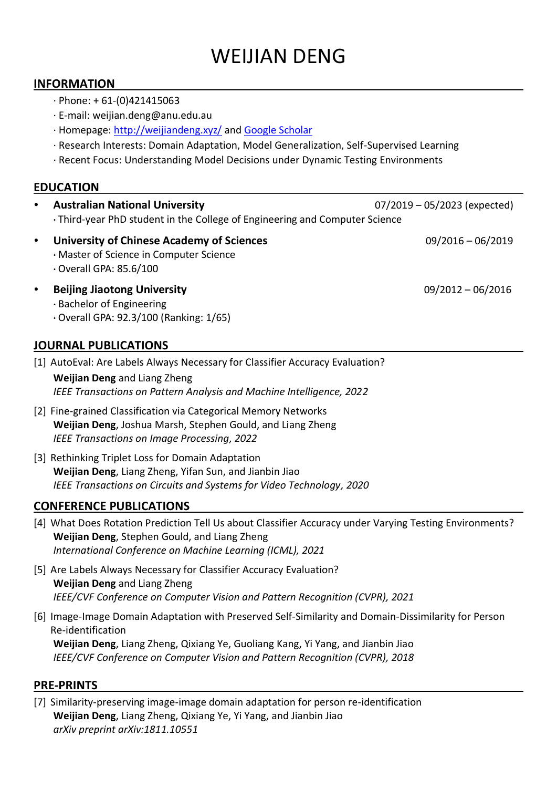# WEIJIAN DENG

### **INFORMATION**

- $\cdot$  Phone: + 61-(0)421415063
- · E-mail: weijian.deng@anu.edu.au
- · Homepage:<http://weijiandeng.xyz/> and [Google Scholar](https://scholar.google.com/citations?user=lReHnAEAAAAJ&hl=en&oi=ao)
- · Research Interests: Domain Adaptation, Model Generalization, Self-Supervised Learning
- · Recent Focus: Understanding Model Decisions under Dynamic Testing Environments

# **EDUCATION**

| $\bullet$ | <b>Australian National University</b>                                                                                        | $07/2019 - 05/2023$ (expected) |
|-----------|------------------------------------------------------------------------------------------------------------------------------|--------------------------------|
|           | . Third-year PhD student in the College of Engineering and Computer Science                                                  |                                |
| $\bullet$ | <b>University of Chinese Academy of Sciences</b><br>· Master of Science in Computer Science<br>$\cdot$ Overall GPA: 85.6/100 | $09/2016 - 06/2019$            |
| $\bullet$ | <b>Beijing Jiaotong University</b><br>· Bachelor of Engineering<br>· Overall GPA: 92.3/100 (Ranking: 1/65)                   | $09/2012 - 06/2016$            |

# **JOURNAL PUBLICATIONS**

- [1] AutoEval: Are Labels Always Necessary for Classifier Accuracy Evaluation? **Weijian Deng** and Liang Zheng *IEEE Transactions on Pattern Analysis and Machine Intelligence, 2022*
- [2] Fine-grained Classification via Categorical Memory Networks **Weijian Deng**, Joshua Marsh, Stephen Gould, and Liang Zheng *IEEE Transactions on Image Processing, 2022*
- [3] Rethinking Triplet Loss for Domain Adaptation **Weijian Deng**, Liang Zheng, Yifan Sun, and Jianbin Jiao *IEEE Transactions on Circuits and Systems for Video Technology, 2020*

# **CONFERENCE PUBLICATIONS**

- [4] What Does Rotation Prediction Tell Us about Classifier Accuracy under Varying Testing Environments? **Weijian Deng**, Stephen Gould, and Liang Zheng *International Conference on Machine Learning (ICML), 2021*
- [5] Are Labels Always Necessary for Classifier Accuracy Evaluation? **Weijian Deng** and Liang Zheng *IEEE/CVF Conference on Computer Vision and Pattern Recognition (CVPR), 2021*
- [6] Image-Image Domain Adaptation with Preserved Self-Similarity and Domain-Dissimilarity for Person Re-identification **Weijian Deng**, Liang Zheng, Qixiang Ye, Guoliang Kang, Yi Yang, and Jianbin Jiao *IEEE/CVF Conference on Computer Vision and Pattern Recognition (CVPR), 2018*

#### **PRE-PRINTS**

[7] Similarity-preserving image-image domain adaptation for person re-identification **Weijian Deng**, Liang Zheng, Qixiang Ye, Yi Yang, and Jianbin Jiao *arXiv preprint arXiv:1811.10551*